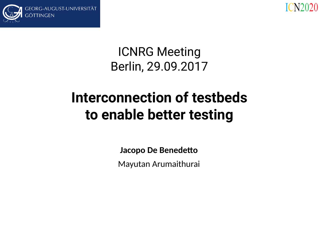



#### ICNRG Meeting Berlin, 29.09.2017

### **Interconnection of testbeds to enable better testing**

**Jacopo De Benedetto**

Mayutan Arumaithurai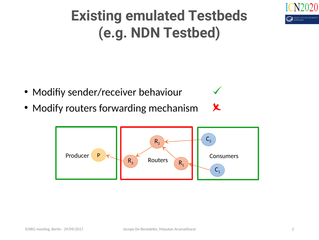

# **Existing emulated Testbeds (e.g. NDN Testbed)**

- Modifiy sender/receiver behaviour
- Modify routers forwarding mechanism



X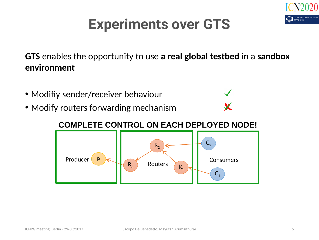

#### **Experiments over GTS**

**GTS** enables the opportunity to use **a real global testbed** in a **sandbox environment**

- Modifiy sender/receiver behaviour
- Modify routers forwarding mechanism



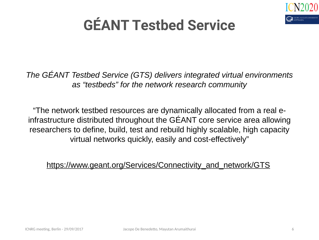

*The GÉANT Testbed Service (GTS) delivers integrated virtual environments as "testbeds" for the network research community*

"The network testbed resources are dynamically allocated from a real einfrastructure distributed throughout the GÉ ANT core service area allowing researchers to define, build, test and rebuild highly scalable, high capacity virtual networks quickly, easily and cost-effectively"

[https://www.geant.org/Services/Connectivity\\_and\\_network/GTS](https://www.geant.org/Services/Connectivity_and_network/GTS)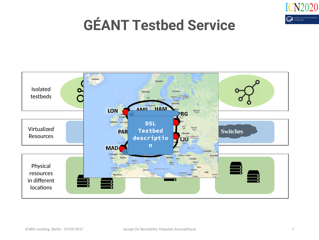

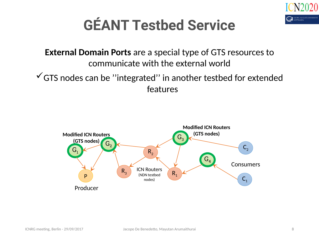

**External Domain Ports** are a special type of GTS resources to communicate with the external world

 $\checkmark$  GTS nodes can be "integrated" in another testbed for extended features

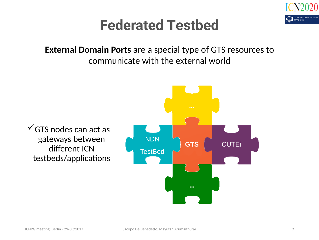

#### **Federated Testbed**

**External Domain Ports** are a special type of GTS resources to communicate with the external world

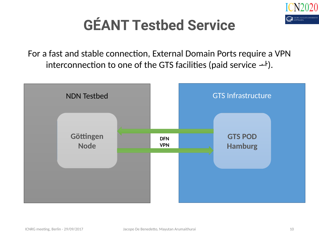

For a fast and stable connection, External Domain Ports require a VPN interconnection to one of the GTS facilities (paid service  $+$ ).

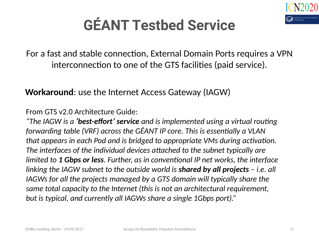

For a fast and stable connection, External Domain Ports requires a VPN interconnection to one of the GTS facilities (paid service).

**Workaround**: use the Internet Access Gateway (IAGW)

From GTS v2.0 Architecture Guide:

*"The IAGW is a 'best-effort' service and is implemented using a virtual routing forwarding table (VRF) across the GÉANT IP core. This is essentially a VLAN that appears in each Pod and is bridged to appropriate VMs during activation. The interfaces of the individual devices attached to the subnet typically are limited to 1 Gbps or less. Further, as in conventional IP net works, the interface linking the IAGW subnet to the outside world is shared by all projects – i.e. all IAGWs for all the projects managed by a GTS domain will typically share the same total capacity to the Internet (this is not an architectural requirement, but is typical, and currently all IAGWs share a single 1Gbps port)."*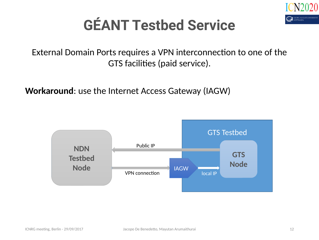

External Domain Ports requires a VPN interconnection to one of the GTS facilities (paid service).

**Workaround**: use the Internet Access Gateway (IAGW)

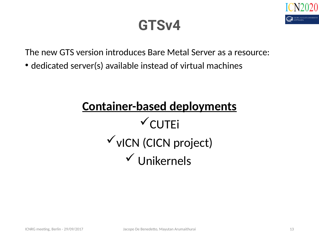

#### **GTSv4**

The new GTS version introduces Bare Metal Server as a resource:

• dedicated server(s) available instead of virtual machines

#### **Container-based deployments**  $\checkmark$  CUTEi  $\checkmark$  vICN (CICN project)  $V$ Unikernels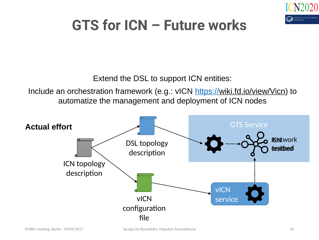

### **GTS for ICN – Future works**

Extend the DSL to support ICN entities:

Include an orchestration framework (e.g.: vICN [https://wiki.fd.io/view/Vicn\)](https://wiki.fd.io/view/Vicn) to automatize the management and deployment of ICN nodes

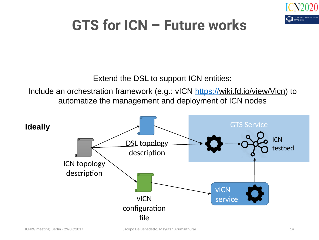

### **GTS for ICN – Future works**

Extend the DSL to support ICN entities:

Include an orchestration framework (e.g.: vICN [https://wiki.fd.io/view/Vicn\)](https://wiki.fd.io/view/Vicn) to automatize the management and deployment of ICN nodes